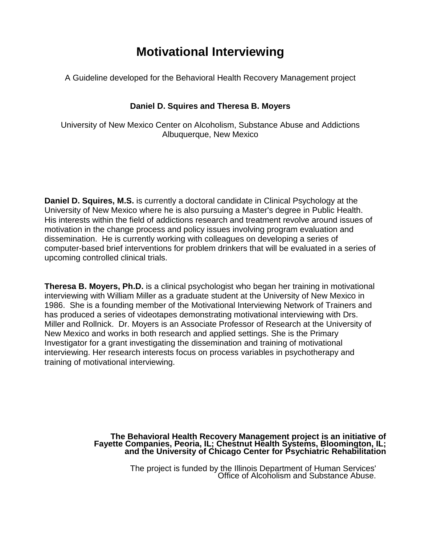# **Motivational Interviewing**

A Guideline developed for the Behavioral Health Recovery Management project

# **Daniel D. Squires and Theresa B. Moyers**

University of New Mexico Center on Alcoholism, Substance Abuse and Addictions Albuquerque, New Mexico

**Daniel D. Squires, M.S.** is currently a doctoral candidate in Clinical Psychology at the University of New Mexico where he is also pursuing a Master's degree in Public Health. His interests within the field of addictions research and treatment revolve around issues of motivation in the change process and policy issues involving program evaluation and dissemination. He is currently working with colleagues on developing a series of computer-based brief interventions for problem drinkers that will be evaluated in a series of upcoming controlled clinical trials.

**Theresa B. Moyers, Ph.D.** is a clinical psychologist who began her training in motivational interviewing with William Miller as a graduate student at the University of New Mexico in 1986. She is a founding member of the Motivational Interviewing Network of Trainers and has produced a series of videotapes demonstrating motivational interviewing with Drs. Miller and Rollnick. Dr. Moyers is an Associate Professor of Research at the University of New Mexico and works in both research and applied settings. She is the Primary Investigator for a grant investigating the dissemination and training of motivational interviewing. Her research interests focus on process variables in psychotherapy and training of motivational interviewing.

The Behavioral Health Recovery Management project is an initiative of<br>Fayette Companies, Peoria, IL; Chestnut Health Systems, Bloomington, IL;<br>and the University of Chicago Center for Psychiatric Rehabilitation

The project is funded by the Illinois Department of Human Services' Office of Alcoholism and Substance Abuse.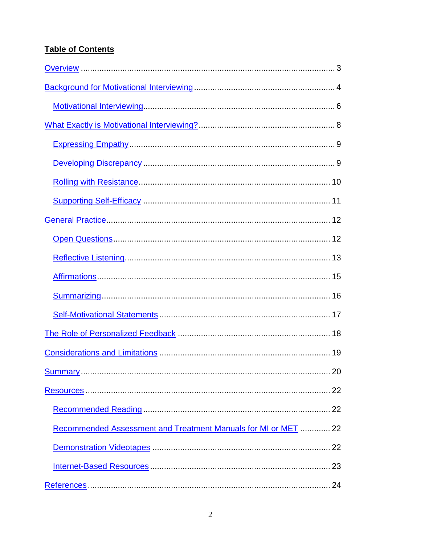# **Table of Contents**

| Recommended Assessment and Treatment Manuals for MI or MET  22 |
|----------------------------------------------------------------|
|                                                                |
|                                                                |
|                                                                |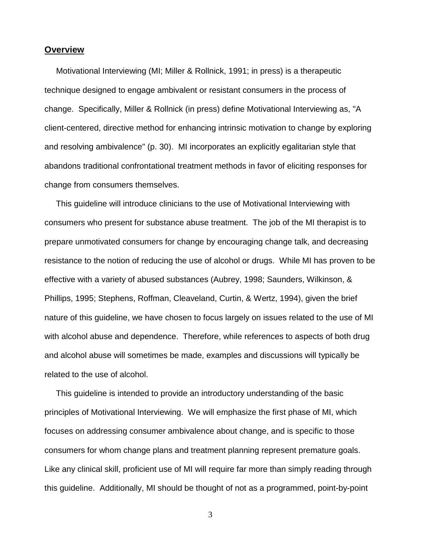## <span id="page-2-0"></span>**Overview**

 Motivational Interviewing (MI; Miller & Rollnick, 1991; in press) is a therapeutic technique designed to engage ambivalent or resistant consumers in the process of change. Specifically, Miller & Rollnick (in press) define Motivational Interviewing as, "A client-centered, directive method for enhancing intrinsic motivation to change by exploring and resolving ambivalence" (p. 30). MI incorporates an explicitly egalitarian style that abandons traditional confrontational treatment methods in favor of eliciting responses for change from consumers themselves.

 This guideline will introduce clinicians to the use of Motivational Interviewing with consumers who present for substance abuse treatment. The job of the MI therapist is to prepare unmotivated consumers for change by encouraging change talk, and decreasing resistance to the notion of reducing the use of alcohol or drugs. While MI has proven to be effective with a variety of abused substances (Aubrey, 1998; Saunders, Wilkinson, & Phillips, 1995; Stephens, Roffman, Cleaveland, Curtin, & Wertz, 1994), given the brief nature of this guideline, we have chosen to focus largely on issues related to the use of MI with alcohol abuse and dependence. Therefore, while references to aspects of both drug and alcohol abuse will sometimes be made, examples and discussions will typically be related to the use of alcohol.

 This guideline is intended to provide an introductory understanding of the basic principles of Motivational Interviewing. We will emphasize the first phase of MI, which focuses on addressing consumer ambivalence about change, and is specific to those consumers for whom change plans and treatment planning represent premature goals. Like any clinical skill, proficient use of MI will require far more than simply reading through this guideline. Additionally, MI should be thought of not as a programmed, point-by-point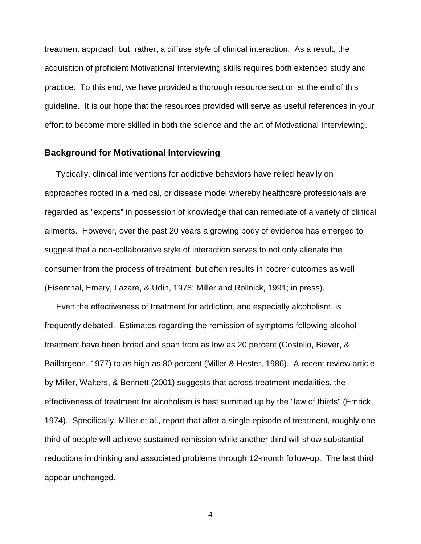<span id="page-3-0"></span>treatment approach but, rather, a diffuse *style* of clinical interaction. As a result, the acquisition of proficient Motivational Interviewing skills requires both extended study and practice. To this end, we have provided a thorough resource section at the end of this guideline. It is our hope that the resources provided will serve as useful references in your effort to become more skilled in both the science and the art of Motivational Interviewing.

# **Background for Motivational Interviewing**

 Typically, clinical interventions for addictive behaviors have relied heavily on approaches rooted in a medical, or disease model whereby healthcare professionals are regarded as "experts" in possession of knowledge that can remediate of a variety of clinical ailments. However, over the past 20 years a growing body of evidence has emerged to suggest that a non-collaborative style of interaction serves to not only alienate the consumer from the process of treatment, but often results in poorer outcomes as well (Eisenthal, Emery, Lazare, & Udin, 1978; Miller and Rollnick, 1991; in press).

 Even the effectiveness of treatment for addiction, and especially alcoholism, is frequently debated. Estimates regarding the remission of symptoms following alcohol treatment have been broad and span from as low as 20 percent (Costello, Biever, & Baillargeon, 1977) to as high as 80 percent (Miller & Hester, 1986). A recent review article by Miller, Walters, & Bennett (2001) suggests that across treatment modalities, the effectiveness of treatment for alcoholism is best summed up by the "law of thirds" (Emrick, 1974). Specifically, Miller et al., report that after a single episode of treatment, roughly one third of people will achieve sustained remission while another third will show substantial reductions in drinking and associated problems through 12-month follow-up. The last third appear unchanged.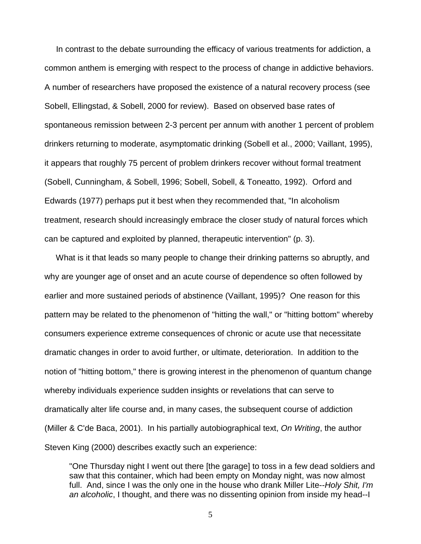In contrast to the debate surrounding the efficacy of various treatments for addiction, a common anthem is emerging with respect to the process of change in addictive behaviors. A number of researchers have proposed the existence of a natural recovery process (see Sobell, Ellingstad, & Sobell, 2000 for review). Based on observed base rates of spontaneous remission between 2-3 percent per annum with another 1 percent of problem drinkers returning to moderate, asymptomatic drinking (Sobell et al., 2000; Vaillant, 1995), it appears that roughly 75 percent of problem drinkers recover without formal treatment (Sobell, Cunningham, & Sobell, 1996; Sobell, Sobell, & Toneatto, 1992). Orford and Edwards (1977) perhaps put it best when they recommended that, "In alcoholism treatment, research should increasingly embrace the closer study of natural forces which can be captured and exploited by planned, therapeutic intervention" (p. 3).

 What is it that leads so many people to change their drinking patterns so abruptly, and why are younger age of onset and an acute course of dependence so often followed by earlier and more sustained periods of abstinence (Vaillant, 1995)? One reason for this pattern may be related to the phenomenon of "hitting the wall," or "hitting bottom" whereby consumers experience extreme consequences of chronic or acute use that necessitate dramatic changes in order to avoid further, or ultimate, deterioration. In addition to the notion of "hitting bottom," there is growing interest in the phenomenon of quantum change whereby individuals experience sudden insights or revelations that can serve to dramatically alter life course and, in many cases, the subsequent course of addiction (Miller & C'de Baca, 2001). In his partially autobiographical text, *On Writing*, the author Steven King (2000) describes exactly such an experience:

"One Thursday night I went out there [the garage] to toss in a few dead soldiers and saw that this container, which had been empty on Monday night, was now almost full. And, since I was the only one in the house who drank Miller Lite--*Holy Shit, I'm an alcoholic*, I thought, and there was no dissenting opinion from inside my head--I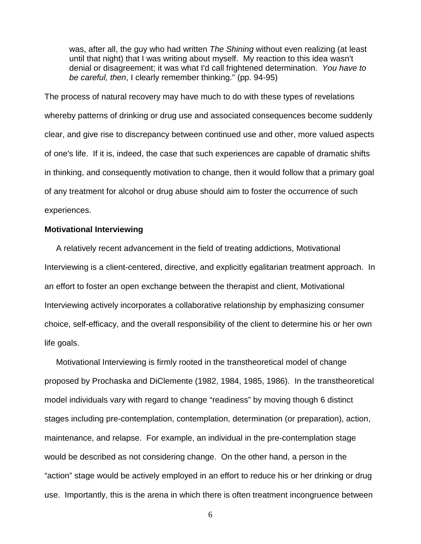<span id="page-5-0"></span>was, after all, the guy who had written *The Shining* without even realizing (at least until that night) that I was writing about myself. My reaction to this idea wasn't denial or disagreement; it was what I'd call frightened determination. *You have to be careful, then*, I clearly remember thinking." (pp. 94-95)

The process of natural recovery may have much to do with these types of revelations whereby patterns of drinking or drug use and associated consequences become suddenly clear, and give rise to discrepancy between continued use and other, more valued aspects of one's life. If it is, indeed, the case that such experiences are capable of dramatic shifts in thinking, and consequently motivation to change, then it would follow that a primary goal of any treatment for alcohol or drug abuse should aim to foster the occurrence of such experiences.

#### **Motivational Interviewing**

 A relatively recent advancement in the field of treating addictions, Motivational Interviewing is a client-centered, directive, and explicitly egalitarian treatment approach. In an effort to foster an open exchange between the therapist and client, Motivational Interviewing actively incorporates a collaborative relationship by emphasizing consumer choice, self-efficacy, and the overall responsibility of the client to determine his or her own life goals.

 Motivational Interviewing is firmly rooted in the transtheoretical model of change proposed by Prochaska and DiClemente (1982, 1984, 1985, 1986). In the transtheoretical model individuals vary with regard to change "readiness" by moving though 6 distinct stages including pre-contemplation, contemplation, determination (or preparation), action, maintenance, and relapse. For example, an individual in the pre-contemplation stage would be described as not considering change. On the other hand, a person in the "action" stage would be actively employed in an effort to reduce his or her drinking or drug use. Importantly, this is the arena in which there is often treatment incongruence between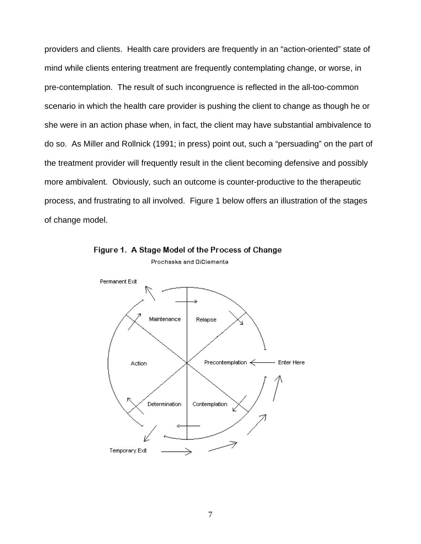providers and clients. Health care providers are frequently in an "action-oriented" state of mind while clients entering treatment are frequently contemplating change, or worse, in pre-contemplation. The result of such incongruence is reflected in the all-too-common scenario in which the health care provider is pushing the client to change as though he or she were in an action phase when, in fact, the client may have substantial ambivalence to do so. As Miller and Rollnick (1991; in press) point out, such a "persuading" on the part of the treatment provider will frequently result in the client becoming defensive and possibly more ambivalent. Obviously, such an outcome is counter-productive to the therapeutic process, and frustrating to all involved. Figure 1 below offers an illustration of the stages of change model.



Figure 1. A Stage Model of the Process of Change Prochaska and DiClemente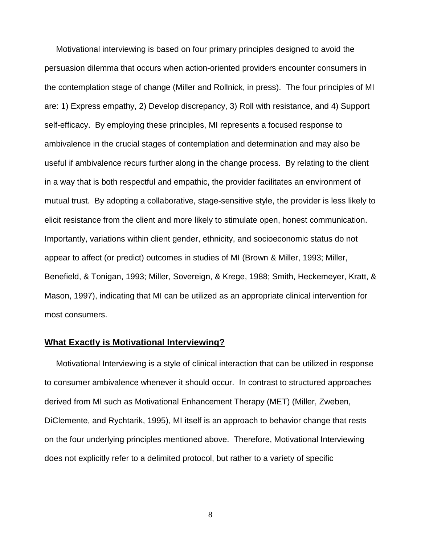<span id="page-7-0"></span> Motivational interviewing is based on four primary principles designed to avoid the persuasion dilemma that occurs when action-oriented providers encounter consumers in the contemplation stage of change (Miller and Rollnick, in press). The four principles of MI are: 1) Express empathy, 2) Develop discrepancy, 3) Roll with resistance, and 4) Support self-efficacy. By employing these principles, MI represents a focused response to ambivalence in the crucial stages of contemplation and determination and may also be useful if ambivalence recurs further along in the change process. By relating to the client in a way that is both respectful and empathic, the provider facilitates an environment of mutual trust. By adopting a collaborative, stage-sensitive style, the provider is less likely to elicit resistance from the client and more likely to stimulate open, honest communication. Importantly, variations within client gender, ethnicity, and socioeconomic status do not appear to affect (or predict) outcomes in studies of MI (Brown & Miller, 1993; Miller, Benefield, & Tonigan, 1993; Miller, Sovereign, & Krege, 1988; Smith, Heckemeyer, Kratt, & Mason, 1997), indicating that MI can be utilized as an appropriate clinical intervention for most consumers.

# **What Exactly is Motivational Interviewing?**

Motivational Interviewing is a style of clinical interaction that can be utilized in response to consumer ambivalence whenever it should occur. In contrast to structured approaches derived from MI such as Motivational Enhancement Therapy (MET) (Miller, Zweben, DiClemente, and Rychtarik, 1995), MI itself is an approach to behavior change that rests on the four underlying principles mentioned above. Therefore, Motivational Interviewing does not explicitly refer to a delimited protocol, but rather to a variety of specific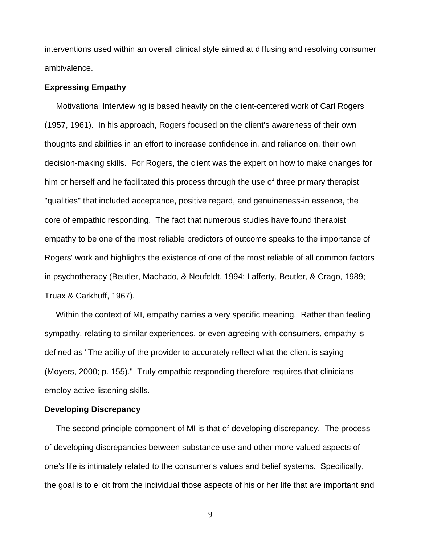<span id="page-8-0"></span>interventions used within an overall clinical style aimed at diffusing and resolving consumer ambivalence.

#### **Expressing Empathy**

 Motivational Interviewing is based heavily on the client-centered work of Carl Rogers (1957, 1961). In his approach, Rogers focused on the client's awareness of their own thoughts and abilities in an effort to increase confidence in, and reliance on, their own decision-making skills. For Rogers, the client was the expert on how to make changes for him or herself and he facilitated this process through the use of three primary therapist "qualities" that included acceptance, positive regard, and genuineness-in essence, the core of empathic responding. The fact that numerous studies have found therapist empathy to be one of the most reliable predictors of outcome speaks to the importance of Rogers' work and highlights the existence of one of the most reliable of all common factors in psychotherapy (Beutler, Machado, & Neufeldt, 1994; Lafferty, Beutler, & Crago, 1989; Truax & Carkhuff, 1967).

 Within the context of MI, empathy carries a very specific meaning. Rather than feeling sympathy, relating to similar experiences, or even agreeing with consumers, empathy is defined as "The ability of the provider to accurately reflect what the client is saying (Moyers, 2000; p. 155)." Truly empathic responding therefore requires that clinicians employ active listening skills.

#### **Developing Discrepancy**

 The second principle component of MI is that of developing discrepancy. The process of developing discrepancies between substance use and other more valued aspects of one's life is intimately related to the consumer's values and belief systems. Specifically, the goal is to elicit from the individual those aspects of his or her life that are important and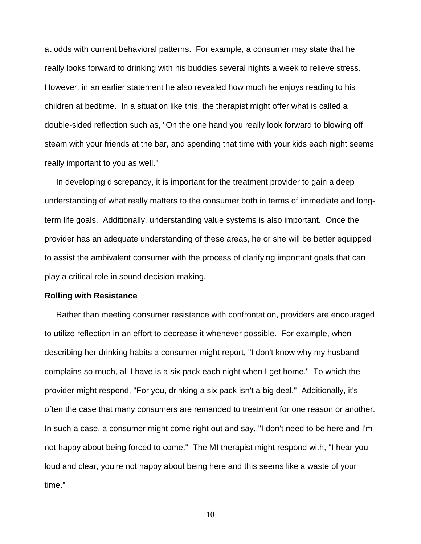<span id="page-9-0"></span>at odds with current behavioral patterns. For example, a consumer may state that he really looks forward to drinking with his buddies several nights a week to relieve stress. However, in an earlier statement he also revealed how much he enjoys reading to his children at bedtime. In a situation like this, the therapist might offer what is called a double-sided reflection such as, "On the one hand you really look forward to blowing off steam with your friends at the bar, and spending that time with your kids each night seems really important to you as well."

 In developing discrepancy, it is important for the treatment provider to gain a deep understanding of what really matters to the consumer both in terms of immediate and longterm life goals. Additionally, understanding value systems is also important. Once the provider has an adequate understanding of these areas, he or she will be better equipped to assist the ambivalent consumer with the process of clarifying important goals that can play a critical role in sound decision-making.

#### **Rolling with Resistance**

 Rather than meeting consumer resistance with confrontation, providers are encouraged to utilize reflection in an effort to decrease it whenever possible. For example, when describing her drinking habits a consumer might report, "I don't know why my husband complains so much, all I have is a six pack each night when I get home." To which the provider might respond, "For you, drinking a six pack isn't a big deal." Additionally, it's often the case that many consumers are remanded to treatment for one reason or another. In such a case, a consumer might come right out and say, "I don't need to be here and I'm not happy about being forced to come." The MI therapist might respond with, "I hear you loud and clear, you're not happy about being here and this seems like a waste of your time."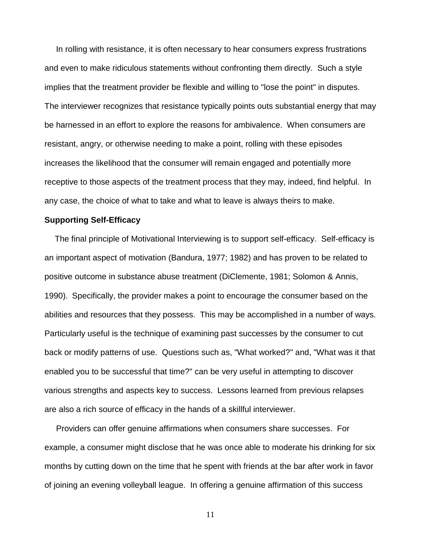<span id="page-10-0"></span> In rolling with resistance, it is often necessary to hear consumers express frustrations and even to make ridiculous statements without confronting them directly. Such a style implies that the treatment provider be flexible and willing to "lose the point" in disputes. The interviewer recognizes that resistance typically points outs substantial energy that may be harnessed in an effort to explore the reasons for ambivalence. When consumers are resistant, angry, or otherwise needing to make a point, rolling with these episodes increases the likelihood that the consumer will remain engaged and potentially more receptive to those aspects of the treatment process that they may, indeed, find helpful. In any case, the choice of what to take and what to leave is always theirs to make.

#### **Supporting Self-Efficacy**

 The final principle of Motivational Interviewing is to support self-efficacy. Self-efficacy is an important aspect of motivation (Bandura, 1977; 1982) and has proven to be related to positive outcome in substance abuse treatment (DiClemente, 1981; Solomon & Annis, 1990). Specifically, the provider makes a point to encourage the consumer based on the abilities and resources that they possess. This may be accomplished in a number of ways. Particularly useful is the technique of examining past successes by the consumer to cut back or modify patterns of use. Questions such as, "What worked?" and, "What was it that enabled you to be successful that time?" can be very useful in attempting to discover various strengths and aspects key to success. Lessons learned from previous relapses are also a rich source of efficacy in the hands of a skillful interviewer.

 Providers can offer genuine affirmations when consumers share successes. For example, a consumer might disclose that he was once able to moderate his drinking for six months by cutting down on the time that he spent with friends at the bar after work in favor of joining an evening volleyball league. In offering a genuine affirmation of this success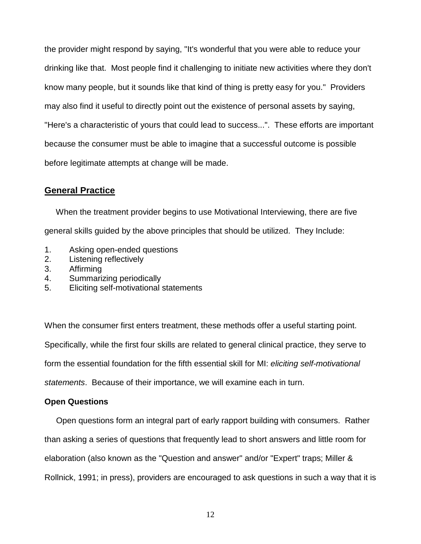<span id="page-11-0"></span>the provider might respond by saying, "It's wonderful that you were able to reduce your drinking like that. Most people find it challenging to initiate new activities where they don't know many people, but it sounds like that kind of thing is pretty easy for you." Providers may also find it useful to directly point out the existence of personal assets by saying, "Here's a characteristic of yours that could lead to success...". These efforts are important because the consumer must be able to imagine that a successful outcome is possible before legitimate attempts at change will be made.

# **General Practice**

 When the treatment provider begins to use Motivational Interviewing, there are five general skills guided by the above principles that should be utilized. They Include:

- 1. Asking open-ended questions
- 2. Listening reflectively
- 3. Affirming
- 4. Summarizing periodically
- 5. Eliciting self-motivational statements

When the consumer first enters treatment, these methods offer a useful starting point. Specifically, while the first four skills are related to general clinical practice, they serve to form the essential foundation for the fifth essential skill for MI: *eliciting self-motivational statements*. Because of their importance, we will examine each in turn.

## **Open Questions**

 Open questions form an integral part of early rapport building with consumers. Rather than asking a series of questions that frequently lead to short answers and little room for elaboration (also known as the "Question and answer" and/or "Expert" traps; Miller & Rollnick, 1991; in press), providers are encouraged to ask questions in such a way that it is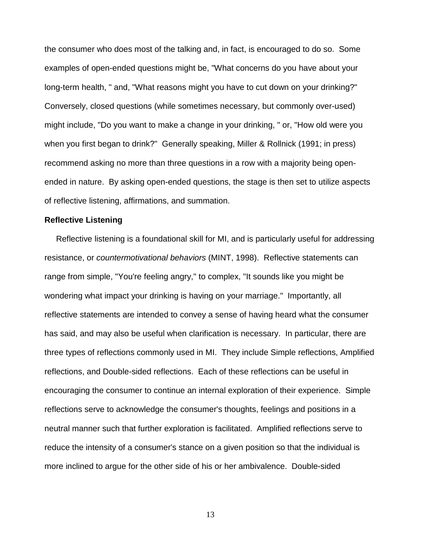<span id="page-12-0"></span>the consumer who does most of the talking and, in fact, is encouraged to do so. Some examples of open-ended questions might be, "What concerns do you have about your long-term health, " and, "What reasons might you have to cut down on your drinking?" Conversely, closed questions (while sometimes necessary, but commonly over-used) might include, "Do you want to make a change in your drinking, " or, "How old were you when you first began to drink?" Generally speaking, Miller & Rollnick (1991; in press) recommend asking no more than three questions in a row with a majority being openended in nature. By asking open-ended questions, the stage is then set to utilize aspects of reflective listening, affirmations, and summation.

#### **Reflective Listening**

 Reflective listening is a foundational skill for MI, and is particularly useful for addressing resistance, or *countermotivational behaviors* (MINT, 1998). Reflective statements can range from simple, "You're feeling angry," to complex, "It sounds like you might be wondering what impact your drinking is having on your marriage." Importantly, all reflective statements are intended to convey a sense of having heard what the consumer has said, and may also be useful when clarification is necessary. In particular, there are three types of reflections commonly used in MI. They include Simple reflections, Amplified reflections, and Double-sided reflections. Each of these reflections can be useful in encouraging the consumer to continue an internal exploration of their experience. Simple reflections serve to acknowledge the consumer's thoughts, feelings and positions in a neutral manner such that further exploration is facilitated. Amplified reflections serve to reduce the intensity of a consumer's stance on a given position so that the individual is more inclined to argue for the other side of his or her ambivalence. Double-sided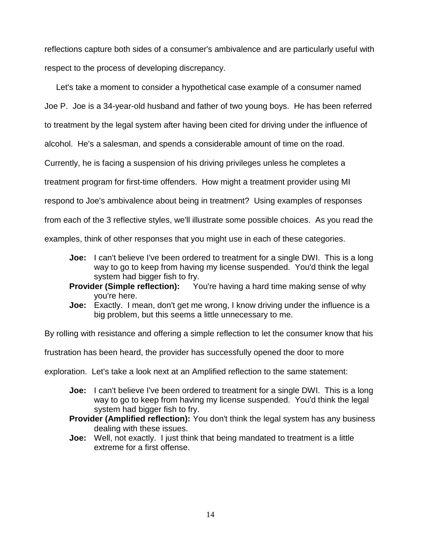reflections capture both sides of a consumer's ambivalence and are particularly useful with respect to the process of developing discrepancy.

 Let's take a moment to consider a hypothetical case example of a consumer named Joe P. Joe is a 34-year-old husband and father of two young boys. He has been referred to treatment by the legal system after having been cited for driving under the influence of alcohol. He's a salesman, and spends a considerable amount of time on the road. Currently, he is facing a suspension of his driving privileges unless he completes a treatment program for first-time offenders. How might a treatment provider using MI respond to Joe's ambivalence about being in treatment? Using examples of responses from each of the 3 reflective styles, we'll illustrate some possible choices. As you read the examples, think of other responses that you might use in each of these categories.

- **Joe:** I can't believe I've been ordered to treatment for a single DWI. This is a long way to go to keep from having my license suspended. You'd think the legal system had bigger fish to fry.
- **Provider (Simple reflection):** You're having a hard time making sense of why you're here.
- **Joe:** Exactly. I mean, don't get me wrong, I know driving under the influence is a big problem, but this seems a little unnecessary to me.

By rolling with resistance and offering a simple reflection to let the consumer know that his

frustration has been heard, the provider has successfully opened the door to more

exploration. Let's take a look next at an Amplified reflection to the same statement:

- **Joe:** I can't believe I've been ordered to treatment for a single DWI. This is a long way to go to keep from having my license suspended. You'd think the legal system had bigger fish to fry.
- **Provider (Amplified reflection):** You don't think the legal system has any business dealing with these issues.
- **Joe:** Well, not exactly. I just think that being mandated to treatment is a little extreme for a first offense.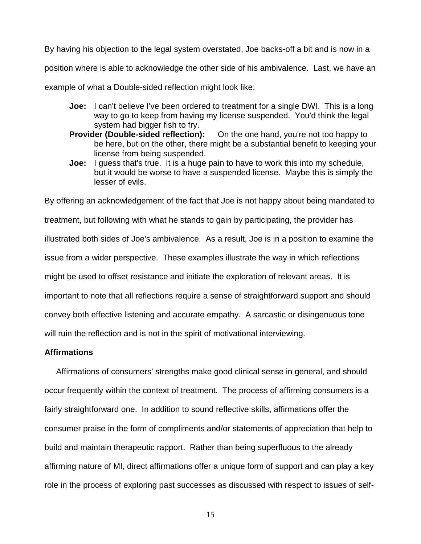<span id="page-14-0"></span>By having his objection to the legal system overstated, Joe backs-off a bit and is now in a

position where is able to acknowledge the other side of his ambivalence. Last, we have an

example of what a Double-sided reflection might look like:

- **Joe:** I can't believe I've been ordered to treatment for a single DWI. This is a long way to go to keep from having my license suspended. You'd think the legal system had bigger fish to fry.
- **Provider (Double-sided reflection):** On the one hand, you're not too happy to be here, but on the other, there might be a substantial benefit to keeping your license from being suspended.
- **Joe:** I guess that's true. It is a huge pain to have to work this into my schedule, but it would be worse to have a suspended license. Maybe this is simply the lesser of evils.

By offering an acknowledgement of the fact that Joe is not happy about being mandated to treatment, but following with what he stands to gain by participating, the provider has illustrated both sides of Joe's ambivalence. As a result, Joe is in a position to examine the issue from a wider perspective. These examples illustrate the way in which reflections might be used to offset resistance and initiate the exploration of relevant areas. It is important to note that all reflections require a sense of straightforward support and should convey both effective listening and accurate empathy. A sarcastic or disingenuous tone will ruin the reflection and is not in the spirit of motivational interviewing.

#### **Affirmations**

 Affirmations of consumers' strengths make good clinical sense in general, and should occur frequently within the context of treatment. The process of affirming consumers is a fairly straightforward one. In addition to sound reflective skills, affirmations offer the consumer praise in the form of compliments and/or statements of appreciation that help to build and maintain therapeutic rapport. Rather than being superfluous to the already affirming nature of MI, direct affirmations offer a unique form of support and can play a key role in the process of exploring past successes as discussed with respect to issues of self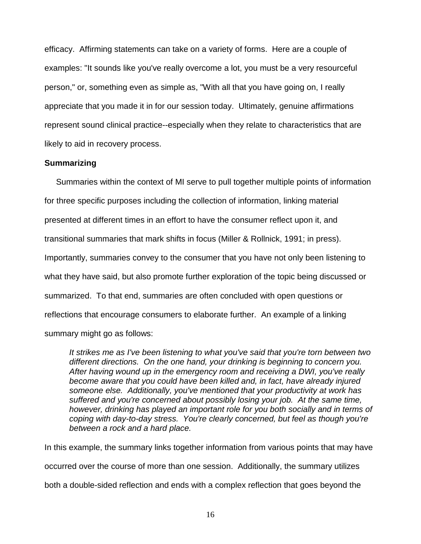<span id="page-15-0"></span>efficacy. Affirming statements can take on a variety of forms. Here are a couple of examples: "It sounds like you've really overcome a lot, you must be a very resourceful person," or, something even as simple as, "With all that you have going on, I really appreciate that you made it in for our session today. Ultimately, genuine affirmations represent sound clinical practice--especially when they relate to characteristics that are likely to aid in recovery process.

#### **Summarizing**

 Summaries within the context of MI serve to pull together multiple points of information for three specific purposes including the collection of information, linking material presented at different times in an effort to have the consumer reflect upon it, and transitional summaries that mark shifts in focus (Miller & Rollnick, 1991; in press). Importantly, summaries convey to the consumer that you have not only been listening to what they have said, but also promote further exploration of the topic being discussed or summarized. To that end, summaries are often concluded with open questions or reflections that encourage consumers to elaborate further. An example of a linking summary might go as follows:

*It strikes me as I've been listening to what you've said that you're torn between two different directions. On the one hand, your drinking is beginning to concern you. After having wound up in the emergency room and receiving a DWI, you've really become aware that you could have been killed and, in fact, have already injured someone else. Additionally, you've mentioned that your productivity at work has suffered and you're concerned about possibly losing your job. At the same time, however, drinking has played an important role for you both socially and in terms of coping with day-to-day stress. You're clearly concerned, but feel as though you're between a rock and a hard place.*

In this example, the summary links together information from various points that may have occurred over the course of more than one session. Additionally, the summary utilizes both a double-sided reflection and ends with a complex reflection that goes beyond the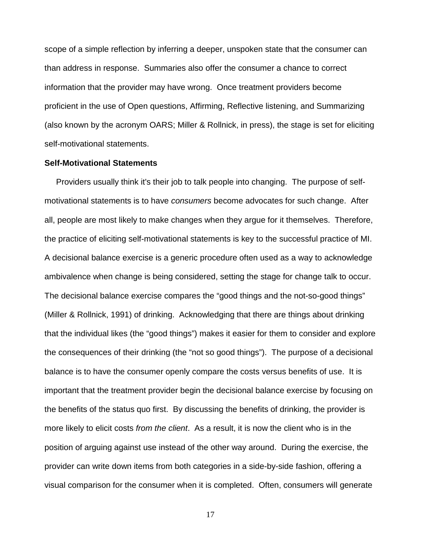<span id="page-16-0"></span>scope of a simple reflection by inferring a deeper, unspoken state that the consumer can than address in response. Summaries also offer the consumer a chance to correct information that the provider may have wrong. Once treatment providers become proficient in the use of Open questions, Affirming, Reflective listening, and Summarizing (also known by the acronym OARS; Miller & Rollnick, in press), the stage is set for eliciting self-motivational statements.

#### **Self-Motivational Statements**

 Providers usually think it's their job to talk people into changing. The purpose of selfmotivational statements is to have *consumers* become advocates for such change. After all, people are most likely to make changes when they argue for it themselves. Therefore, the practice of eliciting self-motivational statements is key to the successful practice of MI. A decisional balance exercise is a generic procedure often used as a way to acknowledge ambivalence when change is being considered, setting the stage for change talk to occur. The decisional balance exercise compares the "good things and the not-so-good things" (Miller & Rollnick, 1991) of drinking. Acknowledging that there are things about drinking that the individual likes (the "good things") makes it easier for them to consider and explore the consequences of their drinking (the "not so good things"). The purpose of a decisional balance is to have the consumer openly compare the costs versus benefits of use. It is important that the treatment provider begin the decisional balance exercise by focusing on the benefits of the status quo first. By discussing the benefits of drinking, the provider is more likely to elicit costs *from the client*. As a result, it is now the client who is in the position of arguing against use instead of the other way around. During the exercise, the provider can write down items from both categories in a side-by-side fashion, offering a visual comparison for the consumer when it is completed. Often, consumers will generate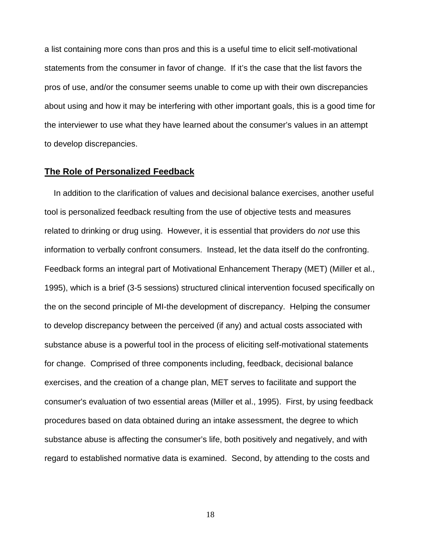<span id="page-17-0"></span>a list containing more cons than pros and this is a useful time to elicit self-motivational statements from the consumer in favor of change. If it's the case that the list favors the pros of use, and/or the consumer seems unable to come up with their own discrepancies about using and how it may be interfering with other important goals, this is a good time for the interviewer to use what they have learned about the consumer's values in an attempt to develop discrepancies.

# **The Role of Personalized Feedback**

 In addition to the clarification of values and decisional balance exercises, another useful tool is personalized feedback resulting from the use of objective tests and measures related to drinking or drug using. However, it is essential that providers do *not* use this information to verbally confront consumers. Instead, let the data itself do the confronting. Feedback forms an integral part of Motivational Enhancement Therapy (MET) (Miller et al., 1995), which is a brief (3-5 sessions) structured clinical intervention focused specifically on the on the second principle of MI-the development of discrepancy. Helping the consumer to develop discrepancy between the perceived (if any) and actual costs associated with substance abuse is a powerful tool in the process of eliciting self-motivational statements for change. Comprised of three components including, feedback, decisional balance exercises, and the creation of a change plan, MET serves to facilitate and support the consumer's evaluation of two essential areas (Miller et al., 1995). First, by using feedback procedures based on data obtained during an intake assessment, the degree to which substance abuse is affecting the consumer's life, both positively and negatively, and with regard to established normative data is examined. Second, by attending to the costs and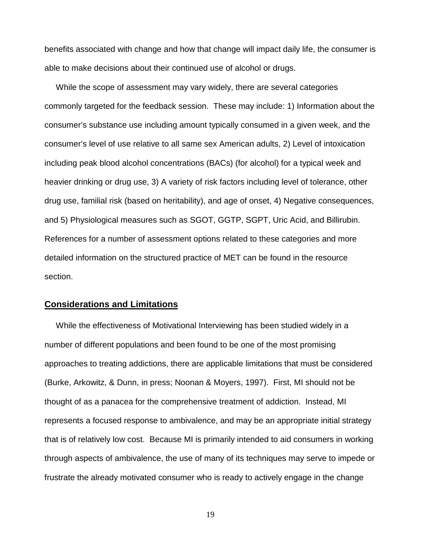<span id="page-18-0"></span>benefits associated with change and how that change will impact daily life, the consumer is able to make decisions about their continued use of alcohol or drugs.

 While the scope of assessment may vary widely, there are several categories commonly targeted for the feedback session. These may include: 1) Information about the consumer's substance use including amount typically consumed in a given week, and the consumer's level of use relative to all same sex American adults, 2) Level of intoxication including peak blood alcohol concentrations (BACs) (for alcohol) for a typical week and heavier drinking or drug use, 3) A variety of risk factors including level of tolerance, other drug use, familial risk (based on heritability), and age of onset, 4) Negative consequences, and 5) Physiological measures such as SGOT, GGTP, SGPT, Uric Acid, and Billirubin. References for a number of assessment options related to these categories and more detailed information on the structured practice of MET can be found in the resource section.

#### **Considerations and Limitations**

 While the effectiveness of Motivational Interviewing has been studied widely in a number of different populations and been found to be one of the most promising approaches to treating addictions, there are applicable limitations that must be considered (Burke, Arkowitz, & Dunn, in press; Noonan & Moyers, 1997). First, MI should not be thought of as a panacea for the comprehensive treatment of addiction. Instead, MI represents a focused response to ambivalence, and may be an appropriate initial strategy that is of relatively low cost. Because MI is primarily intended to aid consumers in working through aspects of ambivalence, the use of many of its techniques may serve to impede or frustrate the already motivated consumer who is ready to actively engage in the change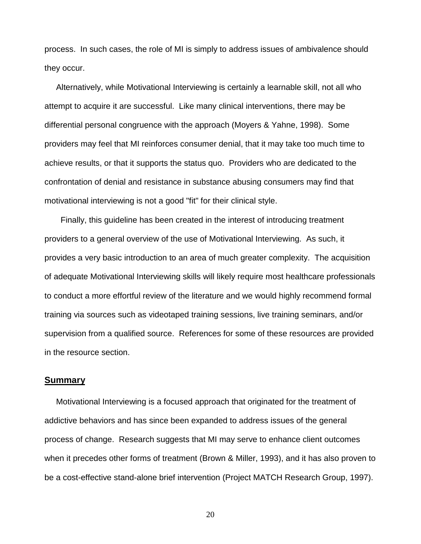<span id="page-19-0"></span>process. In such cases, the role of MI is simply to address issues of ambivalence should they occur.

 Alternatively, while Motivational Interviewing is certainly a learnable skill, not all who attempt to acquire it are successful. Like many clinical interventions, there may be differential personal congruence with the approach (Moyers & Yahne, 1998). Some providers may feel that MI reinforces consumer denial, that it may take too much time to achieve results, or that it supports the status quo. Providers who are dedicated to the confrontation of denial and resistance in substance abusing consumers may find that motivational interviewing is not a good "fit" for their clinical style.

 Finally, this guideline has been created in the interest of introducing treatment providers to a general overview of the use of Motivational Interviewing. As such, it provides a very basic introduction to an area of much greater complexity. The acquisition of adequate Motivational Interviewing skills will likely require most healthcare professionals to conduct a more effortful review of the literature and we would highly recommend formal training via sources such as videotaped training sessions, live training seminars, and/or supervision from a qualified source. References for some of these resources are provided in the resource section.

#### **Summary**

 Motivational Interviewing is a focused approach that originated for the treatment of addictive behaviors and has since been expanded to address issues of the general process of change. Research suggests that MI may serve to enhance client outcomes when it precedes other forms of treatment (Brown & Miller, 1993), and it has also proven to be a cost-effective stand-alone brief intervention (Project MATCH Research Group, 1997).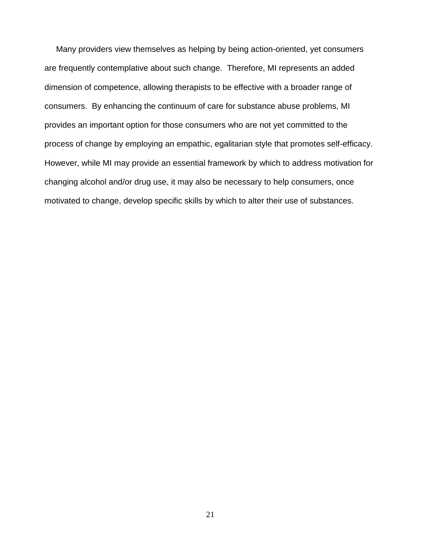Many providers view themselves as helping by being action-oriented, yet consumers are frequently contemplative about such change. Therefore, MI represents an added dimension of competence, allowing therapists to be effective with a broader range of consumers. By enhancing the continuum of care for substance abuse problems, MI provides an important option for those consumers who are not yet committed to the process of change by employing an empathic, egalitarian style that promotes self-efficacy. However, while MI may provide an essential framework by which to address motivation for changing alcohol and/or drug use, it may also be necessary to help consumers, once motivated to change, develop specific skills by which to alter their use of substances.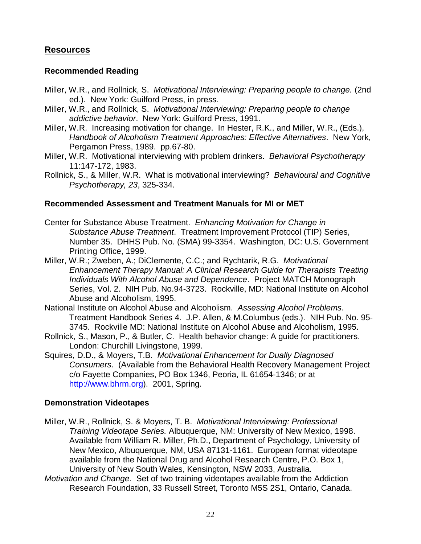# <span id="page-21-0"></span>**Resources**

# **Recommended Reading**

- Miller, W.R., and Rollnick, S. *Motivational Interviewing: Preparing people to change.* (2nd ed.). New York: Guilford Press, in press.
- Miller, W.R., and Rollnick, S. *Motivational Interviewing: Preparing people to change addictive behavior*. New York: Guilford Press, 1991.
- Miller, W.R. Increasing motivation for change. In Hester, R.K., and Miller, W.R., (Eds.), *Handbook of Alcoholism Treatment Approaches: Effective Alternatives*. New York, Pergamon Press, 1989. pp.67-80.
- Miller, W.R. Motivational interviewing with problem drinkers. *Behavioral Psychotherapy* 11:147-172, 1983.
- Rollnick, S., & Miller, W.R. What is motivational interviewing? *Behavioural and Cognitive Psychotherapy, 23*, 325-334.

# **Recommended Assessment and Treatment Manuals for MI or MET**

- Center for Substance Abuse Treatment. *Enhancing Motivation for Change in Substance Abuse Treatment*. Treatment Improvement Protocol (TIP) Series, Number 35. DHHS Pub. No. (SMA) 99-3354. Washington, DC: U.S. Government Printing Office, 1999.
- Miller, W.R.; Zweben, A.; DiClemente, C.C.; and Rychtarik, R.G. *Motivational Enhancement Therapy Manual: A Clinical Research Guide for Therapists Treating Individuals With Alcohol Abuse and Dependence*. Project MATCH Monograph Series, Vol. 2. NIH Pub. No.94-3723. Rockville, MD: National Institute on Alcohol Abuse and Alcoholism, 1995.
- National Institute on Alcohol Abuse and Alcoholism. *Assessing Alcohol Problems*. Treatment Handbook Series 4. J.P. Allen, & M.Columbus (eds.). NIH Pub. No. 95- 3745. Rockville MD: National Institute on Alcohol Abuse and Alcoholism, 1995.
- Rollnick, S., Mason, P., & Butler, C. Health behavior change: A guide for practitioners. London: Churchill Livingstone, 1999.
- Squires, D.D., & Moyers, T.B. *Motivational Enhancement for Dually Diagnosed Consumers*. (Available from the Behavioral Health Recovery Management Project c/o Fayette Companies, PO Box 1346, Peoria, IL 61654-1346; or at [http://www.bhrm.org\)](http://www.bhrm.org/). 2001, Spring.

## **Demonstration Videotapes**

- Miller, W.R., Rollnick, S. & Moyers, T. B. *Motivational Interviewing: Professional Training Videotape Series.* Albuquerque, NM: University of New Mexico, 1998. Available from William R. Miller, Ph.D., Department of Psychology, University of New Mexico, Albuquerque, NM, USA 87131-1161. European format videotape available from the National Drug and Alcohol Research Centre, P.O. Box 1, University of New South Wales, Kensington, NSW 2033, Australia.
- *Motivation and Change*. Set of two training videotapes available from the Addiction Research Foundation, 33 Russell Street, Toronto M5S 2S1, Ontario, Canada.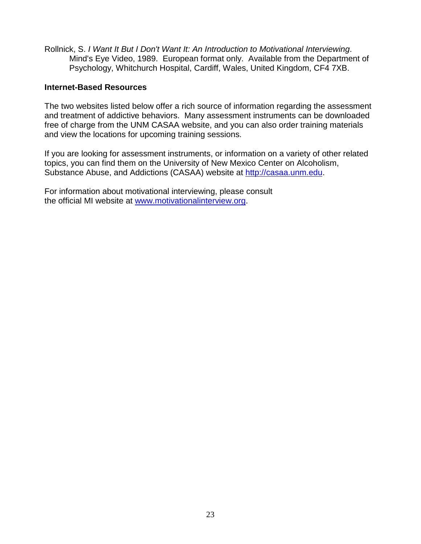<span id="page-22-0"></span>Rollnick, S. *I Want It But I Don't Want It: An Introduction to Motivational Interviewing*. Mind's Eye Video, 1989. European format only. Available from the Department of Psychology, Whitchurch Hospital, Cardiff, Wales, United Kingdom, CF4 7XB.

## **Internet-Based Resources**

The two websites listed below offer a rich source of information regarding the assessment and treatment of addictive behaviors. Many assessment instruments can be downloaded free of charge from the UNM CASAA website, and you can also order training materials and view the locations for upcoming training sessions.

If you are looking for assessment instruments, or information on a variety of other related topics, you can find them on the University of New Mexico Center on Alcoholism, Substance Abuse, and Addictions (CASAA) website at [http://casaa.unm.edu.](#page-2-0)

For information about motivational interviewing, please consult the official MI website at [www.motivationalinterview.org.](#page-2-0)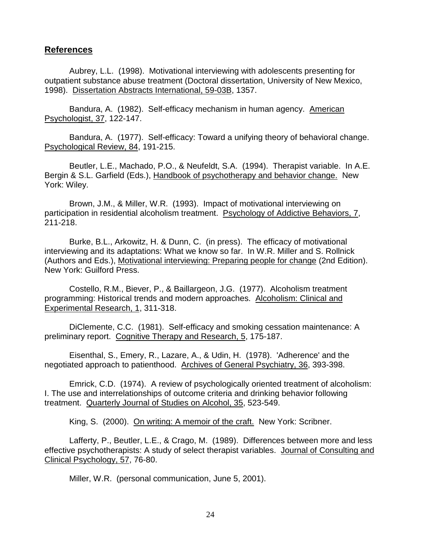### <span id="page-23-0"></span>**References**

Aubrey, L.L. (1998). Motivational interviewing with adolescents presenting for outpatient substance abuse treatment (Doctoral dissertation, University of New Mexico, 1998). Dissertation Abstracts International, 59-03B, 1357.

Bandura, A. (1982). Self-efficacy mechanism in human agency. American Psychologist, 37, 122-147.

Bandura, A. (1977). Self-efficacy: Toward a unifying theory of behavioral change. Psychological Review, 84, 191-215.

Beutler, L.E., Machado, P.O., & Neufeldt, S.A. (1994). Therapist variable. In A.E. Bergin & S.L. Garfield (Eds.), Handbook of psychotherapy and behavior change. New York: Wiley.

Brown, J.M., & Miller, W.R. (1993). Impact of motivational interviewing on participation in residential alcoholism treatment. Psychology of Addictive Behaviors, 7, 211-218.

Burke, B.L., Arkowitz, H. & Dunn, C. (in press). The efficacy of motivational interviewing and its adaptations: What we know so far. In W.R. Miller and S. Rollnick (Authors and Eds.), Motivational interviewing: Preparing people for change (2nd Edition). New York: Guilford Press.

Costello, R.M., Biever, P., & Baillargeon, J.G. (1977). Alcoholism treatment programming: Historical trends and modern approaches. Alcoholism: Clinical and Experimental Research, 1, 311-318.

DiClemente, C.C. (1981). Self-efficacy and smoking cessation maintenance: A preliminary report. Cognitive Therapy and Research, 5, 175-187.

Eisenthal, S., Emery, R., Lazare, A., & Udin, H. (1978). 'Adherence' and the negotiated approach to patienthood. Archives of General Psychiatry, 36, 393-398.

Emrick, C.D. (1974). A review of psychologically oriented treatment of alcoholism: I. The use and interrelationships of outcome criteria and drinking behavior following treatment. Quarterly Journal of Studies on Alcohol, 35, 523-549.

King, S. (2000). On writing: A memoir of the craft. New York: Scribner.

Lafferty, P., Beutler, L.E., & Crago, M. (1989). Differences between more and less effective psychotherapists: A study of select therapist variables. Journal of Consulting and Clinical Psychology, 57, 76-80.

Miller, W.R. (personal communication, June 5, 2001).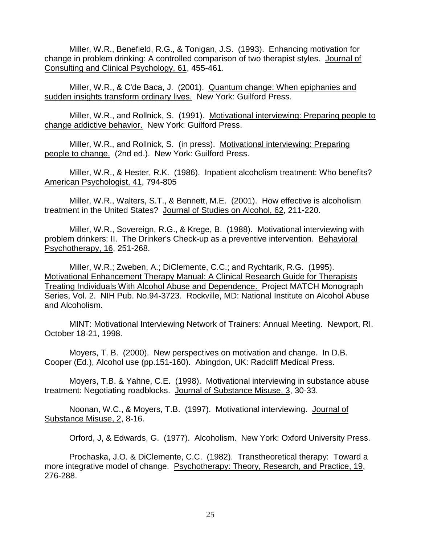Miller, W.R., Benefield, R.G., & Tonigan, J.S. (1993). Enhancing motivation for change in problem drinking: A controlled comparison of two therapist styles. Journal of Consulting and Clinical Psychology, 61, 455-461.

Miller, W.R., & C'de Baca, J. (2001). Quantum change: When epiphanies and sudden insights transform ordinary lives. New York: Guilford Press.

Miller, W.R., and Rollnick, S. (1991). Motivational interviewing: Preparing people to change addictive behavior. New York: Guilford Press.

Miller, W.R., and Rollnick, S. (in press). Motivational interviewing: Preparing people to change. (2nd ed.). New York: Guilford Press.

Miller, W.R., & Hester, R.K. (1986). Inpatient alcoholism treatment: Who benefits? American Psychologist, 41, 794-805

Miller, W.R., Walters, S.T., & Bennett, M.E. (2001). How effective is alcoholism treatment in the United States? Journal of Studies on Alcohol, 62, 211-220.

Miller, W.R., Sovereign, R.G., & Krege, B. (1988). Motivational interviewing with problem drinkers: II. The Drinker's Check-up as a preventive intervention. Behavioral Psychotherapy, 16, 251-268.

Miller, W.R.; Zweben, A.; DiClemente, C.C.; and Rychtarik, R.G. (1995). Motivational Enhancement Therapy Manual: A Clinical Research Guide for Therapists Treating Individuals With Alcohol Abuse and Dependence. Project MATCH Monograph Series, Vol. 2. NIH Pub. No.94-3723. Rockville, MD: National Institute on Alcohol Abuse and Alcoholism.

MINT: Motivational Interviewing Network of Trainers: Annual Meeting. Newport, RI. October 18-21, 1998.

Moyers, T. B. (2000). New perspectives on motivation and change. In D.B. Cooper (Ed.), Alcohol use (pp.151-160). Abingdon, UK: Radcliff Medical Press.

Moyers, T.B. & Yahne, C.E. (1998). Motivational interviewing in substance abuse treatment: Negotiating roadblocks. Journal of Substance Misuse, 3, 30-33.

Noonan, W.C., & Moyers, T.B. (1997). Motivational interviewing. Journal of Substance Misuse, 2, 8-16.

Orford, J, & Edwards, G. (1977). Alcoholism. New York: Oxford University Press.

Prochaska, J.O. & DiClemente, C.C. (1982). Transtheoretical therapy: Toward a more integrative model of change. Psychotherapy: Theory, Research, and Practice, 19, 276-288.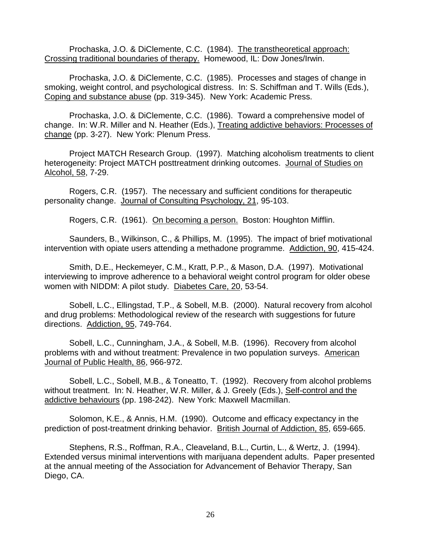Prochaska, J.O. & DiClemente, C.C. (1984). The transtheoretical approach: Crossing traditional boundaries of therapy. Homewood, IL: Dow Jones/Irwin.

Prochaska, J.O. & DiClemente, C.C. (1985). Processes and stages of change in smoking, weight control, and psychological distress. In: S. Schiffman and T. Wills (Eds.), Coping and substance abuse (pp. 319-345). New York: Academic Press.

Prochaska, J.O. & DiClemente, C.C. (1986). Toward a comprehensive model of change. In: W.R. Miller and N. Heather (Eds.), Treating addictive behaviors: Processes of change (pp. 3-27). New York: Plenum Press.

Project MATCH Research Group. (1997). Matching alcoholism treatments to client heterogeneity: Project MATCH posttreatment drinking outcomes. Journal of Studies on Alcohol, 58, 7-29.

Rogers, C.R. (1957). The necessary and sufficient conditions for therapeutic personality change. Journal of Consulting Psychology, 21, 95-103.

Rogers, C.R. (1961). On becoming a person. Boston: Houghton Mifflin.

Saunders, B., Wilkinson, C., & Phillips, M. (1995). The impact of brief motivational intervention with opiate users attending a methadone programme. Addiction, 90, 415-424.

Smith, D.E., Heckemeyer, C.M., Kratt, P.P., & Mason, D.A. (1997). Motivational interviewing to improve adherence to a behavioral weight control program for older obese women with NIDDM: A pilot study. Diabetes Care, 20, 53-54.

Sobell, L.C., Ellingstad, T.P., & Sobell, M.B. (2000). Natural recovery from alcohol and drug problems: Methodological review of the research with suggestions for future directions. Addiction, 95, 749-764.

Sobell, L.C., Cunningham, J.A., & Sobell, M.B. (1996). Recovery from alcohol problems with and without treatment: Prevalence in two population surveys. American Journal of Public Health, 86, 966-972.

Sobell, L.C., Sobell, M.B., & Toneatto, T. (1992). Recovery from alcohol problems without treatment. In: N. Heather, W.R. Miller, & J. Greely (Eds.), Self-control and the addictive behaviours (pp. 198-242). New York: Maxwell Macmillan.

Solomon, K.E., & Annis, H.M. (1990). Outcome and efficacy expectancy in the prediction of post-treatment drinking behavior. British Journal of Addiction, 85, 659-665.

Stephens, R.S., Roffman, R.A., Cleaveland, B.L., Curtin, L., & Wertz, J. (1994). Extended versus minimal interventions with marijuana dependent adults. Paper presented at the annual meeting of the Association for Advancement of Behavior Therapy, San Diego, CA.